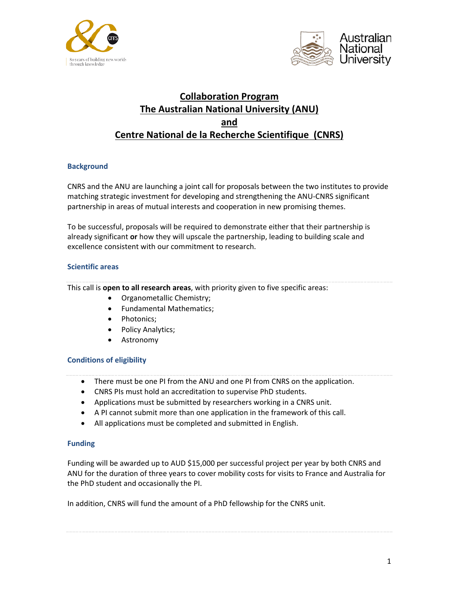



# **Collaboration Program The Australian National University (ANU) and Centre National de la Recherche Scientifique (CNRS)**

## **Background**

CNRS and the ANU are launching a joint call for proposals between the two institutes to provide matching strategic investment for developing and strengthening the ANU-CNRS significant partnership in areas of mutual interests and cooperation in new promising themes.

To be successful, proposals will be required to demonstrate either that their partnership is already significant **or** how they will upscale the partnership, leading to building scale and excellence consistent with our commitment to research.

## **Scientific areas**

This call is **open to all research areas**, with priority given to five specific areas:

- Organometallic Chemistry;
- Fundamental Mathematics;
- Photonics;
- Policy Analytics;
- **Astronomy**

## **Conditions of eligibility**

- There must be one PI from the ANU and one PI from CNRS on the application.
- CNRS PIs must hold an accreditation to supervise PhD students.
- Applications must be submitted by researchers working in a CNRS unit.
- A PI cannot submit more than one application in the framework of this call.
- All applications must be completed and submitted in English.

### **Funding**

Funding will be awarded up to AUD \$15,000 per successful project per year by both CNRS and ANU for the duration of three years to cover mobility costs for visits to France and Australia for the PhD student and occasionally the PI.

In addition, CNRS will fund the amount of a PhD fellowship for the CNRS unit.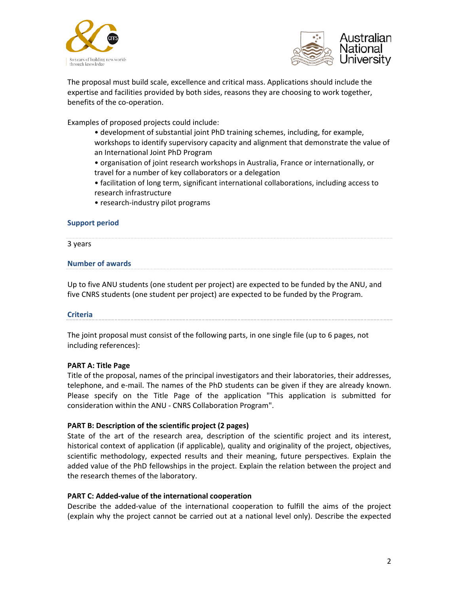



The proposal must build scale, excellence and critical mass. Applications should include the expertise and facilities provided by both sides, reasons they are choosing to work together, benefits of the co-operation.

Examples of proposed projects could include:

- development of substantial joint PhD training schemes, including, for example, workshops to identify supervisory capacity and alignment that demonstrate the value of an International Joint PhD Program
- organisation of joint research workshops in Australia, France or internationally, or
- travel for a number of key collaborators or a delegation
- facilitation of long term, significant international collaborations, including access to research infrastructure
- research-industry pilot programs

### **Support period**

3 years

#### **Number of awards**

Up to five ANU students (one student per project) are expected to be funded by the ANU, and five CNRS students (one student per project) are expected to be funded by the Program.

### **Criteria**

The joint proposal must consist of the following parts, in one single file (up to 6 pages, not including references):

### **PART A: Title Page**

Title of the proposal, names of the principal investigators and their laboratories, their addresses, telephone, and e-mail. The names of the PhD students can be given if they are already known. Please specify on the Title Page of the application "This application is submitted for consideration within the ANU - CNRS Collaboration Program".

### **PART B: Description of the scientific project (2 pages)**

State of the art of the research area, description of the scientific project and its interest, historical context of application (if applicable), quality and originality of the project, objectives, scientific methodology, expected results and their meaning, future perspectives. Explain the added value of the PhD fellowships in the project. Explain the relation between the project and the research themes of the laboratory.

### **PART C: Added-value of the international cooperation**

Describe the added-value of the international cooperation to fulfill the aims of the project (explain why the project cannot be carried out at a national level only). Describe the expected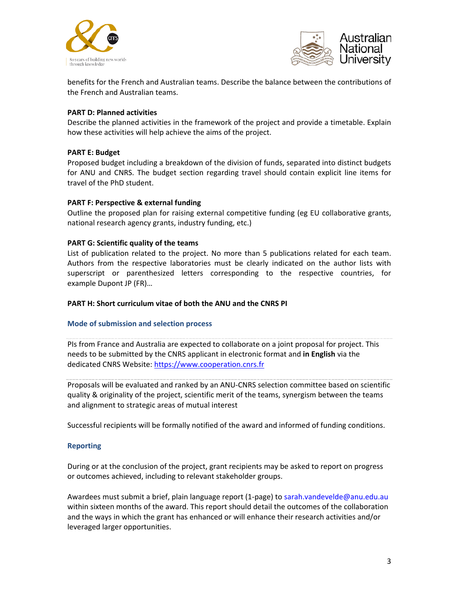



benefits for the French and Australian teams. Describe the balance between the contributions of the French and Australian teams.

## **PART D: Planned activities**

Describe the planned activities in the framework of the project and provide a timetable. Explain how these activities will help achieve the aims of the project.

### **PART E: Budget**

Proposed budget including a breakdown of the division of funds, separated into distinct budgets for ANU and CNRS. The budget section regarding travel should contain explicit line items for travel of the PhD student.

### **PART F: Perspective & external funding**

Outline the proposed plan for raising external competitive funding (eg EU collaborative grants, national research agency grants, industry funding, etc.)

## **PART G: Scientific quality of the teams**

List of publication related to the project. No more than 5 publications related for each team. Authors from the respective laboratories must be clearly indicated on the author lists with superscript or parenthesized letters corresponding to the respective countries, for example Dupont JP (FR)…

### **PART H: Short curriculum vitae of both the ANU and the CNRS PI**

### **Mode of submission and selection process**

PIs from France and Australia are expected to collaborate on a joint proposal for project. This needs to be submitted by the CNRS applicant in electronic format and **in English** via the dedicated CNRS Website: [https://www.cooperation.cnrs.fr](https://www.cooperation.cnrs.fr/)

Proposals will be evaluated and ranked by an ANU-CNRS selection committee based on scientific quality & originality of the project, scientific merit of the teams, synergism between the teams and alignment to strategic areas of mutual interest

Successful recipients will be formally notified of the award and informed of funding conditions.

### **Reporting**

During or at the conclusion of the project, grant recipients may be asked to report on progress or outcomes achieved, including to relevant stakeholder groups.

Awardees must submit a brief, plain language report (1-page) to sarah.vandevelde@anu.edu.au within sixteen months of the award. This report should detail the outcomes of the collaboration and the ways in which the grant has enhanced or will enhance their research activities and/or leveraged larger opportunities.